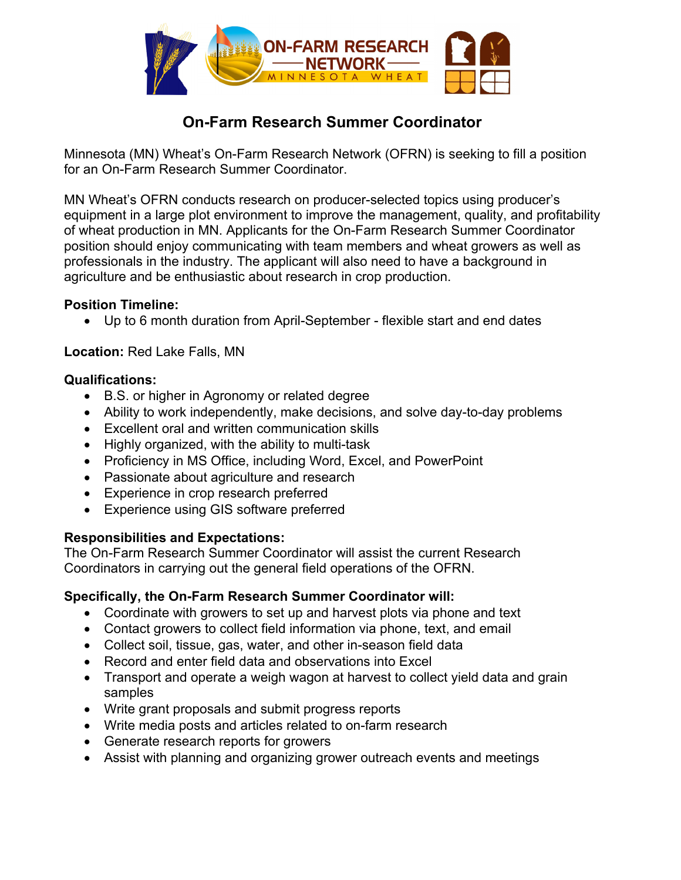

# **On-Farm Research Summer Coordinator**

Minnesota (MN) Wheat's On-Farm Research Network (OFRN) is seeking to fill a position for an On-Farm Research Summer Coordinator.

MN Wheat's OFRN conducts research on producer-selected topics using producer's equipment in a large plot environment to improve the management, quality, and profitability of wheat production in MN. Applicants for the On-Farm Research Summer Coordinator position should enjoy communicating with team members and wheat growers as well as professionals in the industry. The applicant will also need to have a background in agriculture and be enthusiastic about research in crop production.

### **Position Timeline:**

Up to 6 month duration from April-September - flexible start and end dates

**Location:** Red Lake Falls, MN

#### **Qualifications:**

- B.S. or higher in Agronomy or related degree
- Ability to work independently, make decisions, and solve day-to-day problems
- Excellent oral and written communication skills
- Highly organized, with the ability to multi-task
- Proficiency in MS Office, including Word, Excel, and PowerPoint
- Passionate about agriculture and research
- Experience in crop research preferred
- Experience using GIS software preferred

### **Responsibilities and Expectations:**

The On-Farm Research Summer Coordinator will assist the current Research Coordinators in carrying out the general field operations of the OFRN.

### **Specifically, the On-Farm Research Summer Coordinator will:**

- Coordinate with growers to set up and harvest plots via phone and text
- Contact growers to collect field information via phone, text, and email
- Collect soil, tissue, gas, water, and other in-season field data
- Record and enter field data and observations into Excel
- Transport and operate a weigh wagon at harvest to collect yield data and grain samples
- Write grant proposals and submit progress reports
- Write media posts and articles related to on-farm research
- Generate research reports for growers
- Assist with planning and organizing grower outreach events and meetings